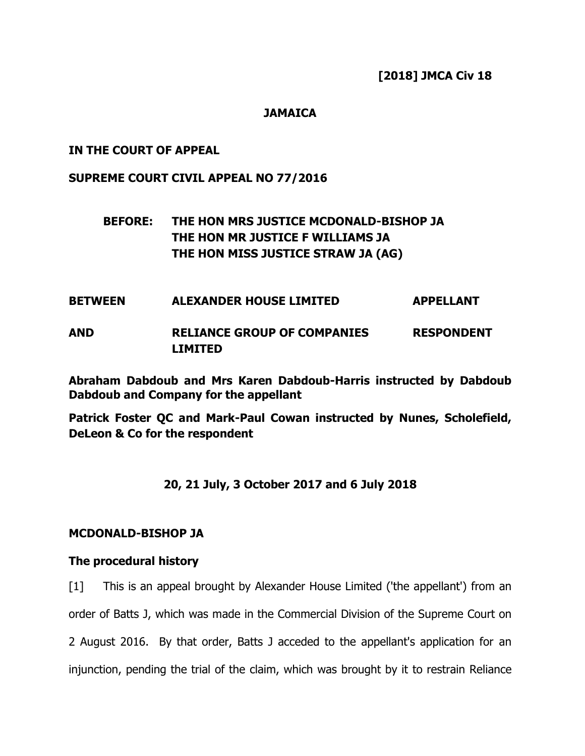**[2018] JMCA Civ 18**

# **JAMAICA**

## **IN THE COURT OF APPEAL**

#### **SUPREME COURT CIVIL APPEAL NO 77/2016**

# **BEFORE: THE HON MRS JUSTICE MCDONALD-BISHOP JA THE HON MR JUSTICE F WILLIAMS JA THE HON MISS JUSTICE STRAW JA (AG)**

# **BETWEEN ALEXANDER HOUSE LIMITED APPELLANT**

# **AND RELIANCE GROUP OF COMPANIES RESPONDENT LIMITED**

**Abraham Dabdoub and Mrs Karen Dabdoub-Harris instructed by Dabdoub Dabdoub and Company for the appellant**

**Patrick Foster QC and Mark-Paul Cowan instructed by Nunes, Scholefield, DeLeon & Co for the respondent**

# **20, 21 July, 3 October 2017 and 6 July 2018**

#### **MCDONALD-BISHOP JA**

#### **The procedural history**

[1] This is an appeal brought by Alexander House Limited ('the appellant') from an order of Batts J, which was made in the Commercial Division of the Supreme Court on 2 August 2016. By that order, Batts J acceded to the appellant's application for an injunction, pending the trial of the claim, which was brought by it to restrain Reliance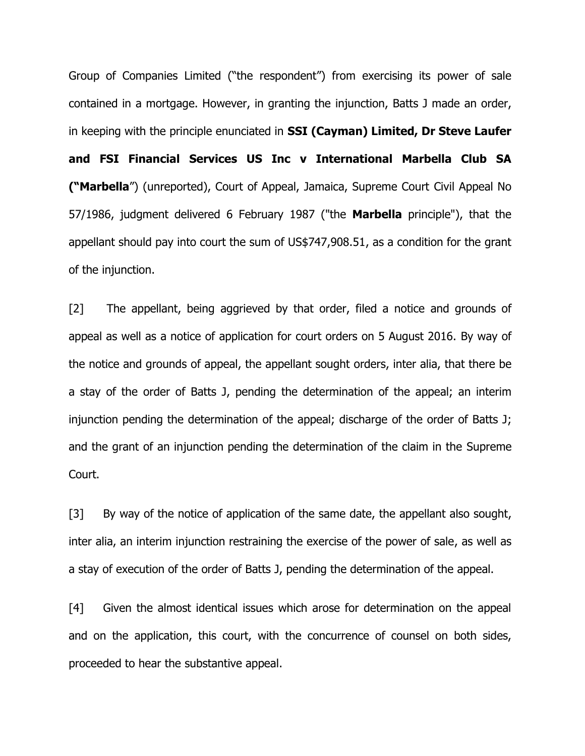Group of Companies Limited ("the respondent") from exercising its power of sale contained in a mortgage. However, in granting the injunction, Batts J made an order, in keeping with the principle enunciated in **SSI (Cayman) Limited, Dr Steve Laufer and FSI Financial Services US Inc v International Marbella Club SA ("Marbella**") (unreported), Court of Appeal, Jamaica, Supreme Court Civil Appeal No 57/1986, judgment delivered 6 February 1987 ("the **Marbella** principle"), that the appellant should pay into court the sum of US\$747,908.51, as a condition for the grant of the injunction.

[2] The appellant, being aggrieved by that order, filed a notice and grounds of appeal as well as a notice of application for court orders on 5 August 2016. By way of the notice and grounds of appeal, the appellant sought orders, inter alia, that there be a stay of the order of Batts J, pending the determination of the appeal; an interim injunction pending the determination of the appeal; discharge of the order of Batts J; and the grant of an injunction pending the determination of the claim in the Supreme Court.

[3] By way of the notice of application of the same date, the appellant also sought, inter alia, an interim injunction restraining the exercise of the power of sale, as well as a stay of execution of the order of Batts J, pending the determination of the appeal.

[4] Given the almost identical issues which arose for determination on the appeal and on the application, this court, with the concurrence of counsel on both sides, proceeded to hear the substantive appeal.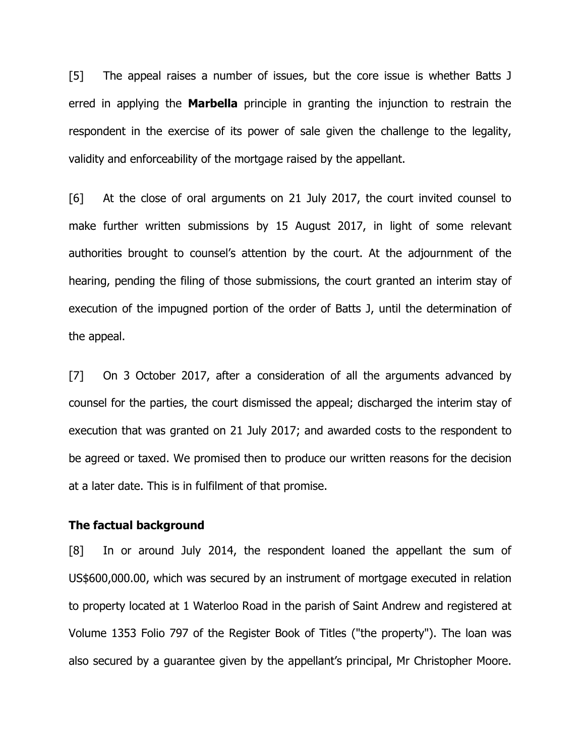[5] The appeal raises a number of issues, but the core issue is whether Batts J erred in applying the **Marbella** principle in granting the injunction to restrain the respondent in the exercise of its power of sale given the challenge to the legality, validity and enforceability of the mortgage raised by the appellant.

[6] At the close of oral arguments on 21 July 2017, the court invited counsel to make further written submissions by 15 August 2017, in light of some relevant authorities brought to counsel's attention by the court. At the adjournment of the hearing, pending the filing of those submissions, the court granted an interim stay of execution of the impugned portion of the order of Batts J, until the determination of the appeal.

[7] On 3 October 2017, after a consideration of all the arguments advanced by counsel for the parties, the court dismissed the appeal; discharged the interim stay of execution that was granted on 21 July 2017; and awarded costs to the respondent to be agreed or taxed. We promised then to produce our written reasons for the decision at a later date. This is in fulfilment of that promise.

#### **The factual background**

[8] In or around July 2014, the respondent loaned the appellant the sum of US\$600,000.00, which was secured by an instrument of mortgage executed in relation to property located at 1 Waterloo Road in the parish of Saint Andrew and registered at Volume 1353 Folio 797 of the Register Book of Titles ("the property"). The loan was also secured by a guarantee given by the appellant's principal, Mr Christopher Moore.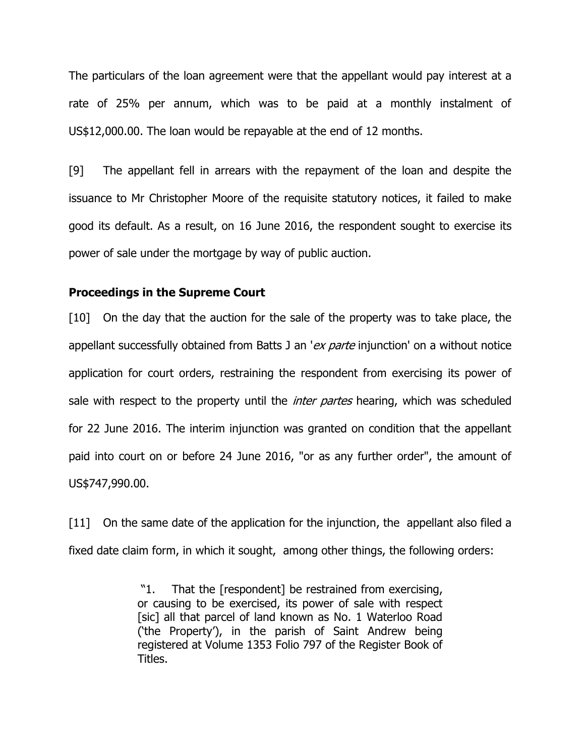The particulars of the loan agreement were that the appellant would pay interest at a rate of 25% per annum, which was to be paid at a monthly instalment of US\$12,000.00. The loan would be repayable at the end of 12 months.

[9] The appellant fell in arrears with the repayment of the loan and despite the issuance to Mr Christopher Moore of the requisite statutory notices, it failed to make good its default. As a result, on 16 June 2016, the respondent sought to exercise its power of sale under the mortgage by way of public auction.

#### **Proceedings in the Supreme Court**

[10] On the day that the auction for the sale of the property was to take place, the appellant successfully obtained from Batts J an 'ex parte injunction' on a without notice application for court orders, restraining the respondent from exercising its power of sale with respect to the property until the *inter partes* hearing, which was scheduled for 22 June 2016. The interim injunction was granted on condition that the appellant paid into court on or before 24 June 2016, "or as any further order", the amount of US\$747,990.00.

[11] On the same date of the application for the injunction, the appellant also filed a fixed date claim form, in which it sought, among other things, the following orders:

> "1. That the [respondent] be restrained from exercising, or causing to be exercised, its power of sale with respect [sic] all that parcel of land known as No. 1 Waterloo Road ('the Property'), in the parish of Saint Andrew being registered at Volume 1353 Folio 797 of the Register Book of Titles.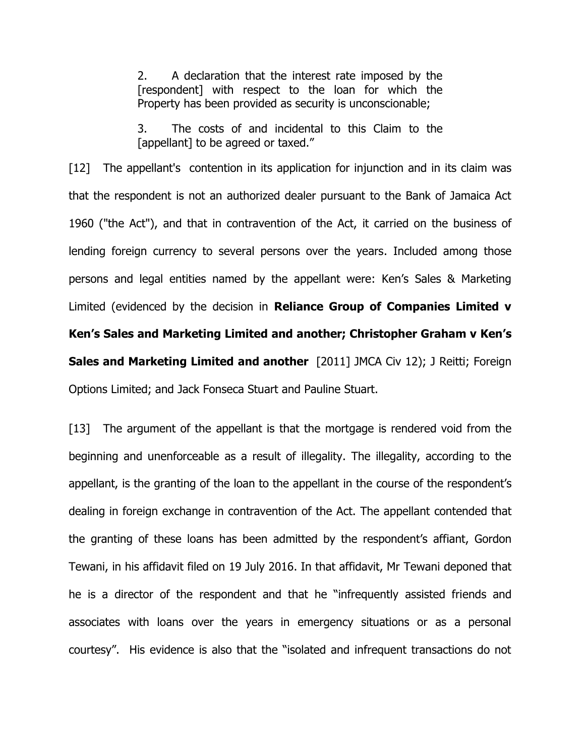2. A declaration that the interest rate imposed by the [respondent] with respect to the loan for which the Property has been provided as security is unconscionable;

3. The costs of and incidental to this Claim to the [appellant] to be agreed or taxed."

[12] The appellant's contention in its application for injunction and in its claim was that the respondent is not an authorized dealer pursuant to the Bank of Jamaica Act 1960 ("the Act"), and that in contravention of the Act, it carried on the business of lending foreign currency to several persons over the years. Included among those persons and legal entities named by the appellant were: Ken's Sales & Marketing Limited (evidenced by the decision in **Reliance Group of Companies Limited v Ken's Sales and Marketing Limited and another; Christopher Graham v Ken's Sales and Marketing Limited and another** [2011] JMCA Civ 12); J Reitti; Foreign Options Limited; and Jack Fonseca Stuart and Pauline Stuart.

[13] The argument of the appellant is that the mortgage is rendered void from the beginning and unenforceable as a result of illegality. The illegality, according to the appellant, is the granting of the loan to the appellant in the course of the respondent's dealing in foreign exchange in contravention of the Act. The appellant contended that the granting of these loans has been admitted by the respondent's affiant, Gordon Tewani, in his affidavit filed on 19 July 2016. In that affidavit, Mr Tewani deponed that he is a director of the respondent and that he "infrequently assisted friends and associates with loans over the years in emergency situations or as a personal courtesy". His evidence is also that the "isolated and infrequent transactions do not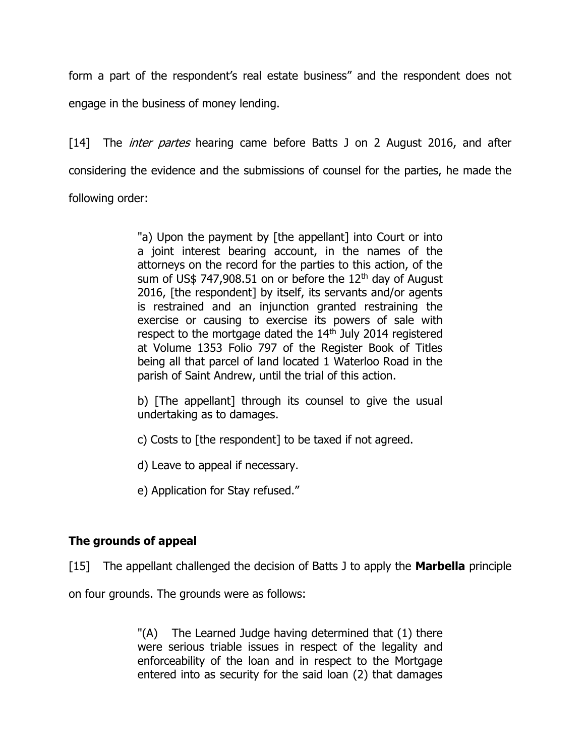form a part of the respondent's real estate business" and the respondent does not engage in the business of money lending.

[14] The *inter partes* hearing came before Batts J on 2 August 2016, and after considering the evidence and the submissions of counsel for the parties, he made the following order:

> "a) Upon the payment by [the appellant] into Court or into a joint interest bearing account, in the names of the attorneys on the record for the parties to this action, of the sum of US\$ 747,908.51 on or before the  $12<sup>th</sup>$  day of August 2016, [the respondent] by itself, its servants and/or agents is restrained and an injunction granted restraining the exercise or causing to exercise its powers of sale with respect to the mortgage dated the 14<sup>th</sup> July 2014 registered at Volume 1353 Folio 797 of the Register Book of Titles being all that parcel of land located 1 Waterloo Road in the parish of Saint Andrew, until the trial of this action.

> b) [The appellant] through its counsel to give the usual undertaking as to damages.

- c) Costs to [the respondent] to be taxed if not agreed.
- d) Leave to appeal if necessary.
- e) Application for Stay refused."

# **The grounds of appeal**

[15] The appellant challenged the decision of Batts J to apply the **Marbella** principle

on four grounds. The grounds were as follows:

"(A) The Learned Judge having determined that (1) there were serious triable issues in respect of the legality and enforceability of the loan and in respect to the Mortgage entered into as security for the said loan (2) that damages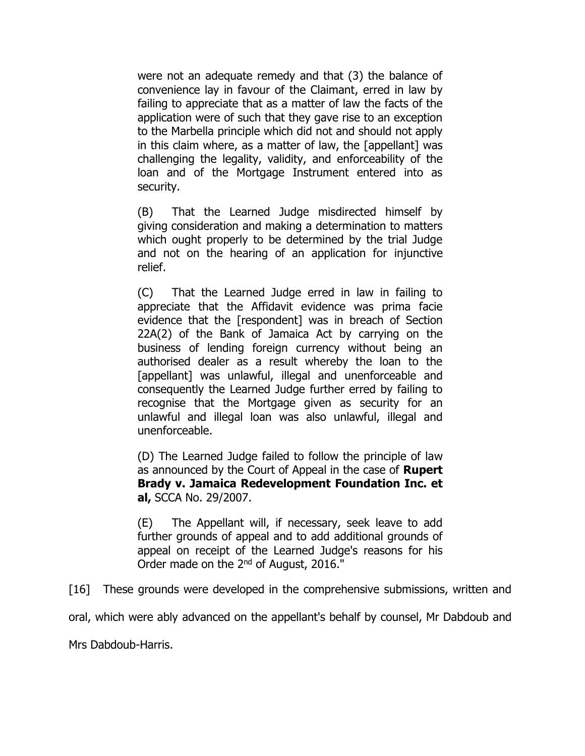were not an adequate remedy and that (3) the balance of convenience lay in favour of the Claimant, erred in law by failing to appreciate that as a matter of law the facts of the application were of such that they gave rise to an exception to the Marbella principle which did not and should not apply in this claim where, as a matter of law, the [appellant] was challenging the legality, validity, and enforceability of the loan and of the Mortgage Instrument entered into as security.

(B) That the Learned Judge misdirected himself by giving consideration and making a determination to matters which ought properly to be determined by the trial Judge and not on the hearing of an application for injunctive relief.

(C) That the Learned Judge erred in law in failing to appreciate that the Affidavit evidence was prima facie evidence that the [respondent] was in breach of Section 22A(2) of the Bank of Jamaica Act by carrying on the business of lending foreign currency without being an authorised dealer as a result whereby the loan to the [appellant] was unlawful, illegal and unenforceable and consequently the Learned Judge further erred by failing to recognise that the Mortgage given as security for an unlawful and illegal loan was also unlawful, illegal and unenforceable.

(D) The Learned Judge failed to follow the principle of law as announced by the Court of Appeal in the case of **Rupert Brady v. Jamaica Redevelopment Foundation Inc. et al,** SCCA No. 29/2007.

(E) The Appellant will, if necessary, seek leave to add further grounds of appeal and to add additional grounds of appeal on receipt of the Learned Judge's reasons for his Order made on the 2<sup>nd</sup> of August, 2016."

[16] These grounds were developed in the comprehensive submissions, written and

oral, which were ably advanced on the appellant's behalf by counsel, Mr Dabdoub and

Mrs Dabdoub-Harris.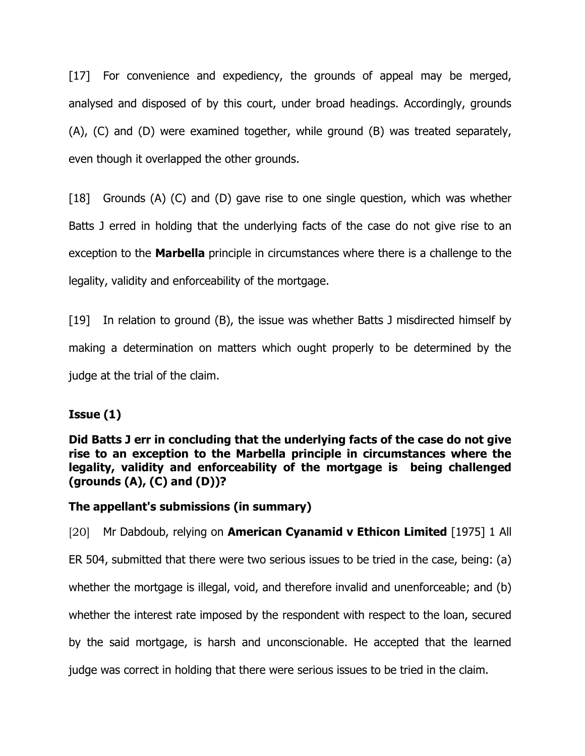[17] For convenience and expediency, the grounds of appeal may be merged, analysed and disposed of by this court, under broad headings. Accordingly, grounds (A), (C) and (D) were examined together, while ground (B) was treated separately, even though it overlapped the other grounds.

[18] Grounds (A) (C) and (D) gave rise to one single question, which was whether Batts J erred in holding that the underlying facts of the case do not give rise to an exception to the **Marbella** principle in circumstances where there is a challenge to the legality, validity and enforceability of the mortgage.

[19] In relation to ground (B), the issue was whether Batts J misdirected himself by making a determination on matters which ought properly to be determined by the judge at the trial of the claim.

# **Issue (1)**

**Did Batts J err in concluding that the underlying facts of the case do not give rise to an exception to the Marbella principle in circumstances where the legality, validity and enforceability of the mortgage is being challenged (grounds (A), (C) and (D))?**

# **The appellant's submissions (in summary)**

[20] Mr Dabdoub, relying on **American Cyanamid v Ethicon Limited** [1975] 1 All ER 504, submitted that there were two serious issues to be tried in the case, being: (a) whether the mortgage is illegal, void, and therefore invalid and unenforceable; and (b) whether the interest rate imposed by the respondent with respect to the loan, secured by the said mortgage, is harsh and unconscionable. He accepted that the learned judge was correct in holding that there were serious issues to be tried in the claim.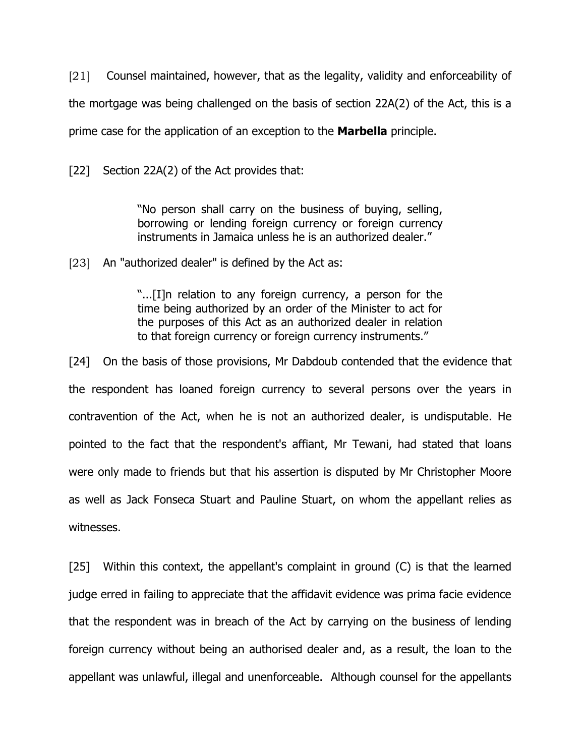[21] Counsel maintained, however, that as the legality, validity and enforceability of the mortgage was being challenged on the basis of section 22A(2) of the Act, this is a prime case for the application of an exception to the **Marbella** principle.

[22] Section 22A(2) of the Act provides that:

"No person shall carry on the business of buying, selling, borrowing or lending foreign currency or foreign currency instruments in Jamaica unless he is an authorized dealer."

[23] An "authorized dealer" is defined by the Act as:

"...[I]n relation to any foreign currency, a person for the time being authorized by an order of the Minister to act for the purposes of this Act as an authorized dealer in relation to that foreign currency or foreign currency instruments."

[24] On the basis of those provisions, Mr Dabdoub contended that the evidence that the respondent has loaned foreign currency to several persons over the years in contravention of the Act, when he is not an authorized dealer, is undisputable. He pointed to the fact that the respondent's affiant, Mr Tewani, had stated that loans were only made to friends but that his assertion is disputed by Mr Christopher Moore as well as Jack Fonseca Stuart and Pauline Stuart, on whom the appellant relies as witnesses.

[25] Within this context, the appellant's complaint in ground (C) is that the learned judge erred in failing to appreciate that the affidavit evidence was prima facie evidence that the respondent was in breach of the Act by carrying on the business of lending foreign currency without being an authorised dealer and, as a result, the loan to the appellant was unlawful, illegal and unenforceable. Although counsel for the appellants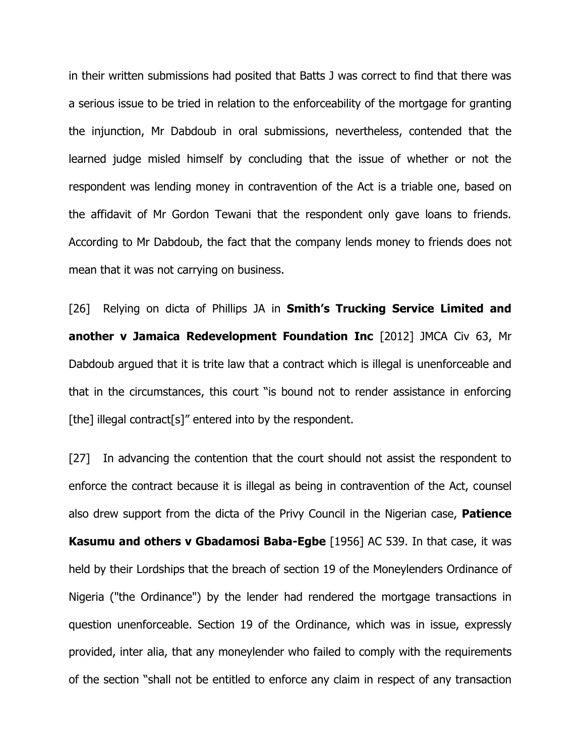in their written submissions had posited that Batts J was correct to find that there was a serious issue to be tried in relation to the enforceability of the mortgage for granting the injunction, Mr Dabdoub in oral submissions, nevertheless, contended that the learned judge misled himself by concluding that the issue of whether or not the respondent was lending money in contravention of the Act is a triable one, based on the affidavit of Mr Gordon Tewani that the respondent only gave loans to friends. According to Mr Dabdoub, the fact that the company lends money to friends does not mean that it was not carrying on business.

[26] Relying on dicta of Phillips JA in **Smith's Trucking Service Limited and another v Jamaica Redevelopment Foundation Inc** [2012] JMCA Civ 63, Mr Dabdoub argued that it is trite law that a contract which is illegal is unenforceable and that in the circumstances, this court "is bound not to render assistance in enforcing [the] illegal contract[s]" entered into by the respondent.

[27] In advancing the contention that the court should not assist the respondent to enforce the contract because it is illegal as being in contravention of the Act, counsel also drew support from the dicta of the Privy Council in the Nigerian case, **Patience Kasumu and others v Gbadamosi Baba-Egbe** [1956] AC 539. In that case, it was held by their Lordships that the breach of section 19 of the Moneylenders Ordinance of Nigeria ("the Ordinance") by the lender had rendered the mortgage transactions in question unenforceable. Section 19 of the Ordinance, which was in issue, expressly provided, inter alia, that any moneylender who failed to comply with the requirements of the section "shall not be entitled to enforce any claim in respect of any transaction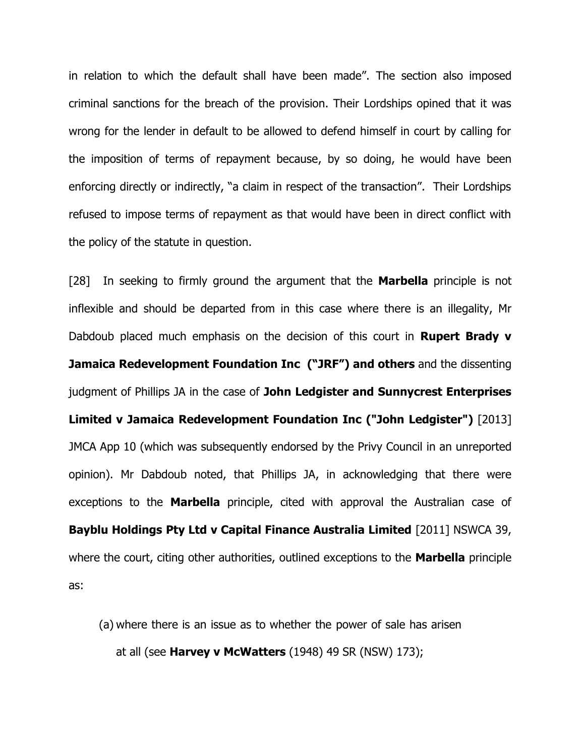in relation to which the default shall have been made". The section also imposed criminal sanctions for the breach of the provision. Their Lordships opined that it was wrong for the lender in default to be allowed to defend himself in court by calling for the imposition of terms of repayment because, by so doing, he would have been enforcing directly or indirectly, "a claim in respect of the transaction". Their Lordships refused to impose terms of repayment as that would have been in direct conflict with the policy of the statute in question.

[28] In seeking to firmly ground the argument that the **Marbella** principle is not inflexible and should be departed from in this case where there is an illegality, Mr Dabdoub placed much emphasis on the decision of this court in **Rupert Brady v Jamaica Redevelopment Foundation Inc ("JRF") and others** and the dissenting judgment of Phillips JA in the case of **John Ledgister and Sunnycrest Enterprises Limited v Jamaica Redevelopment Foundation Inc ("John Ledgister")** [2013] JMCA App 10 (which was subsequently endorsed by the Privy Council in an unreported opinion). Mr Dabdoub noted, that Phillips JA, in acknowledging that there were exceptions to the **Marbella** principle, cited with approval the Australian case of **Bayblu Holdings Pty Ltd v Capital Finance Australia Limited** [2011] NSWCA 39, where the court, citing other authorities, outlined exceptions to the **Marbella** principle as:

(a) where there is an issue as to whether the power of sale has arisen at all (see **Harvey v McWatters** (1948) 49 SR (NSW) 173);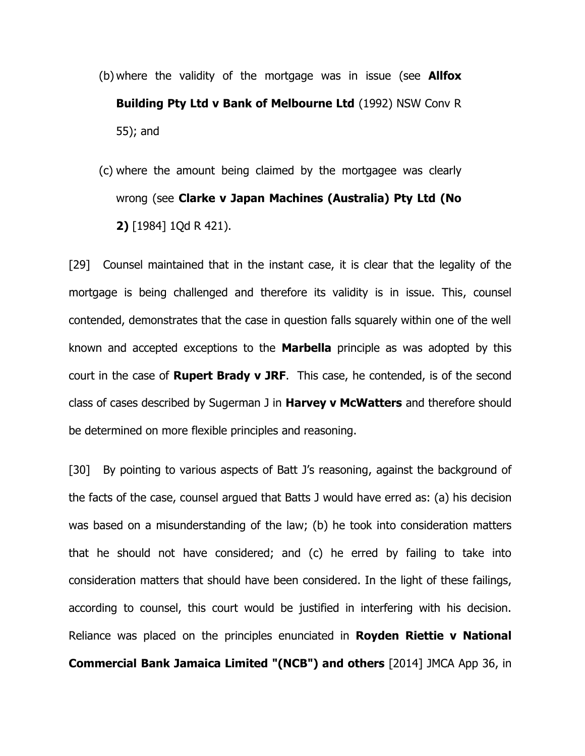- (b) where the validity of the mortgage was in issue (see **Allfox Building Pty Ltd v Bank of Melbourne Ltd** (1992) NSW Conv R 55); and
- (c) where the amount being claimed by the mortgagee was clearly wrong (see **Clarke v Japan Machines (Australia) Pty Ltd (No 2)** [1984] 1Qd R 421).

[29] Counsel maintained that in the instant case, it is clear that the legality of the mortgage is being challenged and therefore its validity is in issue. This, counsel contended, demonstrates that the case in question falls squarely within one of the well known and accepted exceptions to the **Marbella** principle as was adopted by this court in the case of **Rupert Brady v JRF**. This case, he contended, is of the second class of cases described by Sugerman J in **Harvey v McWatters** and therefore should be determined on more flexible principles and reasoning.

[30] By pointing to various aspects of Batt J's reasoning, against the background of the facts of the case, counsel argued that Batts J would have erred as: (a) his decision was based on a misunderstanding of the law; (b) he took into consideration matters that he should not have considered; and (c) he erred by failing to take into consideration matters that should have been considered. In the light of these failings, according to counsel, this court would be justified in interfering with his decision. Reliance was placed on the principles enunciated in **Royden Riettie v National Commercial Bank Jamaica Limited "(NCB") and others** [2014] JMCA App 36, in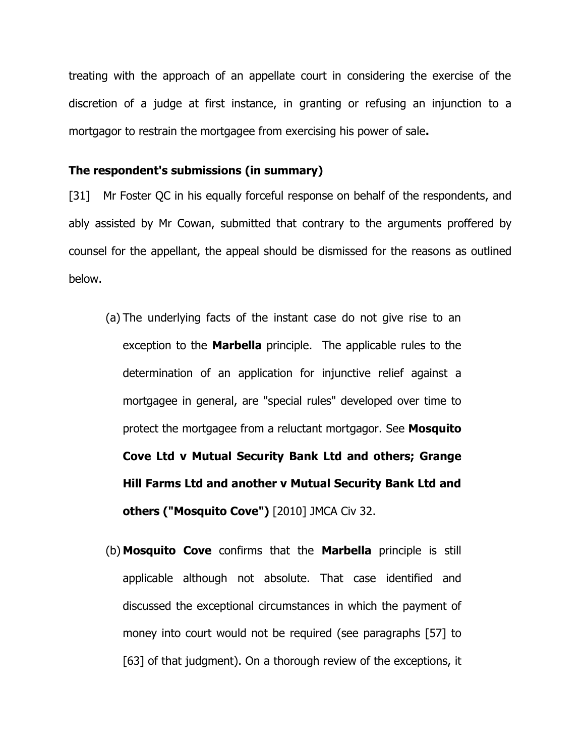treating with the approach of an appellate court in considering the exercise of the discretion of a judge at first instance, in granting or refusing an injunction to a mortgagor to restrain the mortgagee from exercising his power of sale**.** 

#### **The respondent's submissions (in summary)**

[31] Mr Foster QC in his equally forceful response on behalf of the respondents, and ably assisted by Mr Cowan, submitted that contrary to the arguments proffered by counsel for the appellant, the appeal should be dismissed for the reasons as outlined below.

- (a) The underlying facts of the instant case do not give rise to an exception to the **Marbella** principle. The applicable rules to the determination of an application for injunctive relief against a mortgagee in general, are "special rules" developed over time to protect the mortgagee from a reluctant mortgagor. See **Mosquito Cove Ltd v Mutual Security Bank Ltd and others; Grange Hill Farms Ltd and another v Mutual Security Bank Ltd and others ("Mosquito Cove")** [2010] JMCA Civ 32.
- (b) **Mosquito Cove** confirms that the **Marbella** principle is still applicable although not absolute. That case identified and discussed the exceptional circumstances in which the payment of money into court would not be required (see paragraphs [57] to [63] of that judgment). On a thorough review of the exceptions, it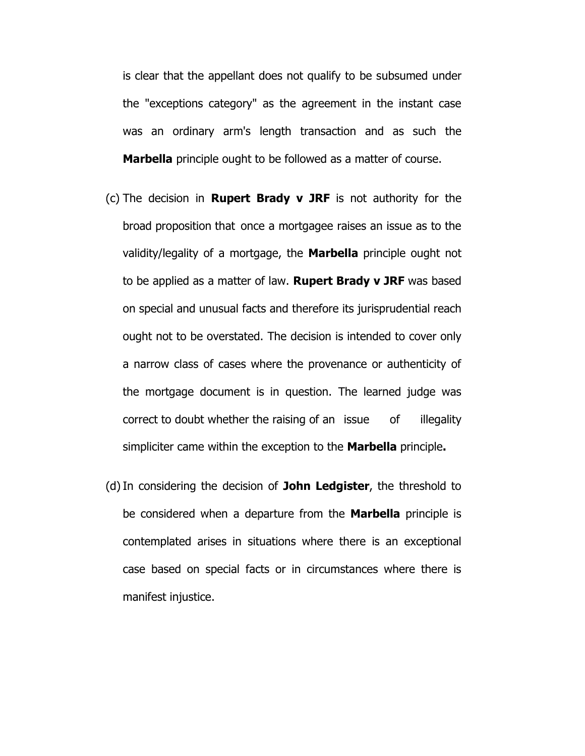is clear that the appellant does not qualify to be subsumed under the "exceptions category" as the agreement in the instant case was an ordinary arm's length transaction and as such the **Marbella** principle ought to be followed as a matter of course.

- (c) The decision in **Rupert Brady v JRF** is not authority for the broad proposition that once a mortgagee raises an issue as to the validity/legality of a mortgage, the **Marbella** principle ought not to be applied as a matter of law. **Rupert Brady v JRF** was based on special and unusual facts and therefore its jurisprudential reach ought not to be overstated. The decision is intended to cover only a narrow class of cases where the provenance or authenticity of the mortgage document is in question. The learned judge was correct to doubt whether the raising of an issue of illegality simpliciter came within the exception to the **Marbella** principle**.**
- (d)In considering the decision of **John Ledgister**, the threshold to be considered when a departure from the **Marbella** principle is contemplated arises in situations where there is an exceptional case based on special facts or in circumstances where there is manifest injustice.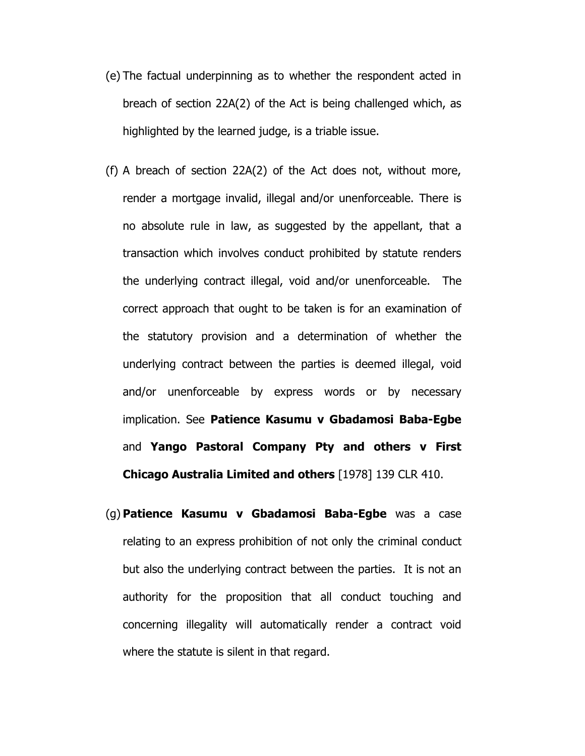- (e) The factual underpinning as to whether the respondent acted in breach of section 22A(2) of the Act is being challenged which, as highlighted by the learned judge, is a triable issue.
- (f) A breach of section 22A(2) of the Act does not, without more, render a mortgage invalid, illegal and/or unenforceable. There is no absolute rule in law, as suggested by the appellant, that a transaction which involves conduct prohibited by statute renders the underlying contract illegal, void and/or unenforceable. The correct approach that ought to be taken is for an examination of the statutory provision and a determination of whether the underlying contract between the parties is deemed illegal, void and/or unenforceable by express words or by necessary implication. See **Patience Kasumu v Gbadamosi Baba-Egbe** and **Yango Pastoral Company Pty and others v First Chicago Australia Limited and others** [1978] 139 CLR 410.
- (g) **Patience Kasumu v Gbadamosi Baba-Egbe** was a case relating to an express prohibition of not only the criminal conduct but also the underlying contract between the parties. It is not an authority for the proposition that all conduct touching and concerning illegality will automatically render a contract void where the statute is silent in that regard.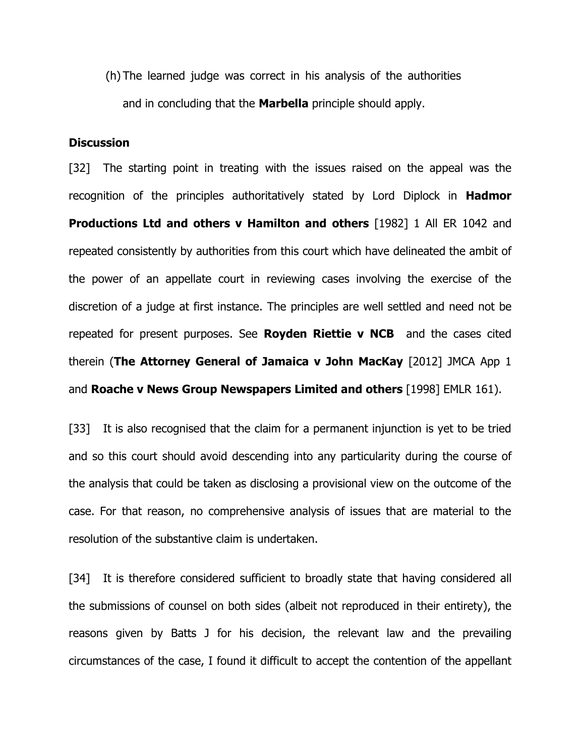(h) The learned judge was correct in his analysis of the authorities and in concluding that the **Marbella** principle should apply.

## **Discussion**

[32] The starting point in treating with the issues raised on the appeal was the recognition of the principles authoritatively stated by Lord Diplock in **Hadmor Productions Ltd and others v Hamilton and others** [1982] 1 All ER 1042 and repeated consistently by authorities from this court which have delineated the ambit of the power of an appellate court in reviewing cases involving the exercise of the discretion of a judge at first instance. The principles are well settled and need not be repeated for present purposes. See **Royden Riettie v NCB** and the cases cited therein (**The Attorney General of Jamaica v John MacKay** [2012] JMCA App 1 and **Roache v News Group Newspapers Limited and others** [1998] EMLR 161).

[33] It is also recognised that the claim for a permanent injunction is yet to be tried and so this court should avoid descending into any particularity during the course of the analysis that could be taken as disclosing a provisional view on the outcome of the case. For that reason, no comprehensive analysis of issues that are material to the resolution of the substantive claim is undertaken.

[34] It is therefore considered sufficient to broadly state that having considered all the submissions of counsel on both sides (albeit not reproduced in their entirety), the reasons given by Batts J for his decision, the relevant law and the prevailing circumstances of the case, I found it difficult to accept the contention of the appellant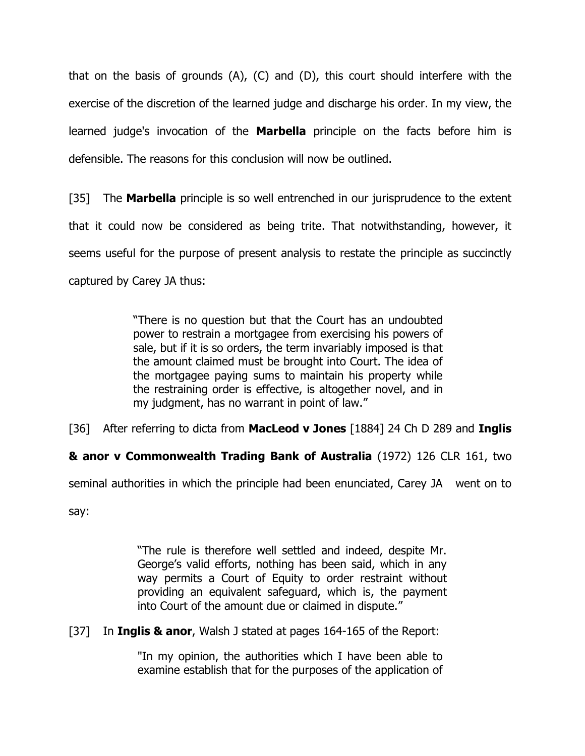that on the basis of grounds (A), (C) and (D), this court should interfere with the exercise of the discretion of the learned judge and discharge his order. In my view, the learned judge's invocation of the **Marbella** principle on the facts before him is defensible. The reasons for this conclusion will now be outlined.

[35] The **Marbella** principle is so well entrenched in our jurisprudence to the extent that it could now be considered as being trite. That notwithstanding, however, it seems useful for the purpose of present analysis to restate the principle as succinctly captured by Carey JA thus:

> "There is no question but that the Court has an undoubted power to restrain a mortgagee from exercising his powers of sale, but if it is so orders, the term invariably imposed is that the amount claimed must be brought into Court. The idea of the mortgagee paying sums to maintain his property while the restraining order is effective, is altogether novel, and in my judgment, has no warrant in point of law."

[36] After referring to dicta from **MacLeod v Jones** [1884] 24 Ch D 289 and **Inglis** 

**& anor v Commonwealth Trading Bank of Australia** (1972) 126 CLR 161, two

seminal authorities in which the principle had been enunciated, Carey JA went on to

say:

"The rule is therefore well settled and indeed, despite Mr. George's valid efforts, nothing has been said, which in any way permits a Court of Equity to order restraint without providing an equivalent safeguard, which is, the payment into Court of the amount due or claimed in dispute."

[37] In **Inglis & anor**, Walsh J stated at pages 164-165 of the Report:

"In my opinion, the authorities which I have been able to examine establish that for the purposes of the application of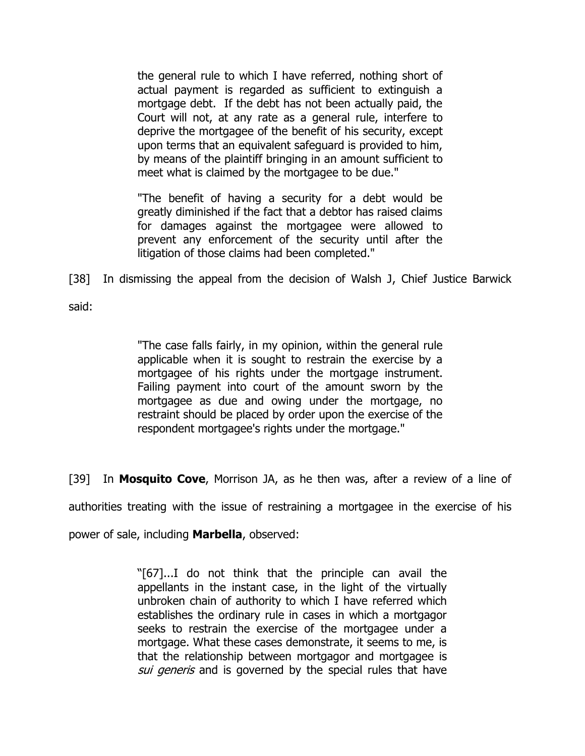the general rule to which I have referred, nothing short of actual payment is regarded as sufficient to extinguish a mortgage debt. If the debt has not been actually paid, the Court will not, at any rate as a general rule, interfere to deprive the mortgagee of the benefit of his security, except upon terms that an equivalent safeguard is provided to him, by means of the plaintiff bringing in an amount sufficient to meet what is claimed by the mortgagee to be due."

"The benefit of having a security for a debt would be greatly diminished if the fact that a debtor has raised claims for damages against the mortgagee were allowed to prevent any enforcement of the security until after the litigation of those claims had been completed."

[38] In dismissing the appeal from the decision of Walsh J, Chief Justice Barwick

said:

"The case falls fairly, in my opinion, within the general rule applicable when it is sought to restrain the exercise by a mortgagee of his rights under the mortgage instrument. Failing payment into court of the amount sworn by the mortgagee as due and owing under the mortgage, no restraint should be placed by order upon the exercise of the respondent mortgagee's rights under the mortgage."

[39] In **Mosquito Cove**, Morrison JA, as he then was, after a review of a line of

authorities treating with the issue of restraining a mortgagee in the exercise of his

power of sale, including **Marbella**, observed:

"[67]...I do not think that the principle can avail the appellants in the instant case, in the light of the virtually unbroken chain of authority to which I have referred which establishes the ordinary rule in cases in which a mortgagor seeks to restrain the exercise of the mortgagee under a mortgage. What these cases demonstrate, it seems to me, is that the relationship between mortgagor and mortgagee is sui generis and is governed by the special rules that have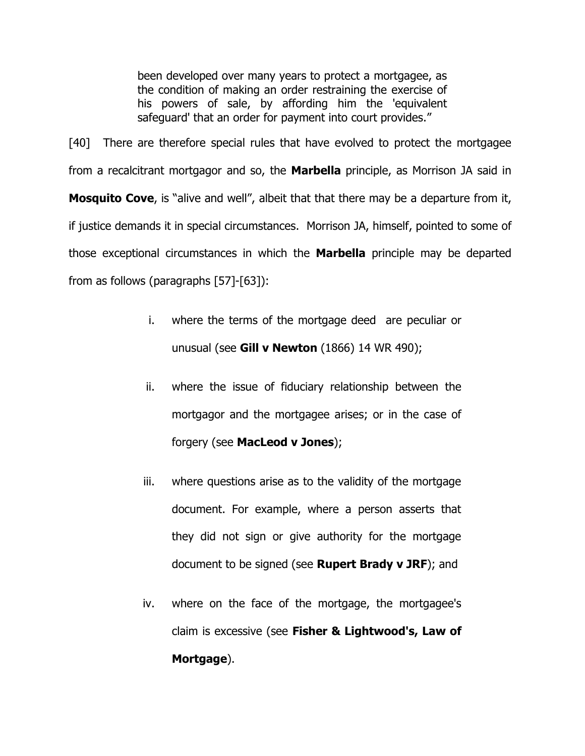been developed over many years to protect a mortgagee, as the condition of making an order restraining the exercise of his powers of sale, by affording him the 'equivalent safeguard' that an order for payment into court provides."

[40] There are therefore special rules that have evolved to protect the mortgagee from a recalcitrant mortgagor and so, the **Marbella** principle, as Morrison JA said in **Mosquito Cove**, is "alive and well", albeit that that there may be a departure from it, if justice demands it in special circumstances. Morrison JA, himself, pointed to some of those exceptional circumstances in which the **Marbella** principle may be departed from as follows (paragraphs [57]-[63]):

- i. where the terms of the mortgage deed are peculiar or unusual (see **Gill v Newton** (1866) 14 WR 490);
- ii. where the issue of fiduciary relationship between the mortgagor and the mortgagee arises; or in the case of forgery (see **MacLeod v Jones**);
- iii. where questions arise as to the validity of the mortgage document. For example, where a person asserts that they did not sign or give authority for the mortgage document to be signed (see **Rupert Brady v JRF**); and
- iv. where on the face of the mortgage, the mortgagee's claim is excessive (see **Fisher & Lightwood's, Law of Mortgage**).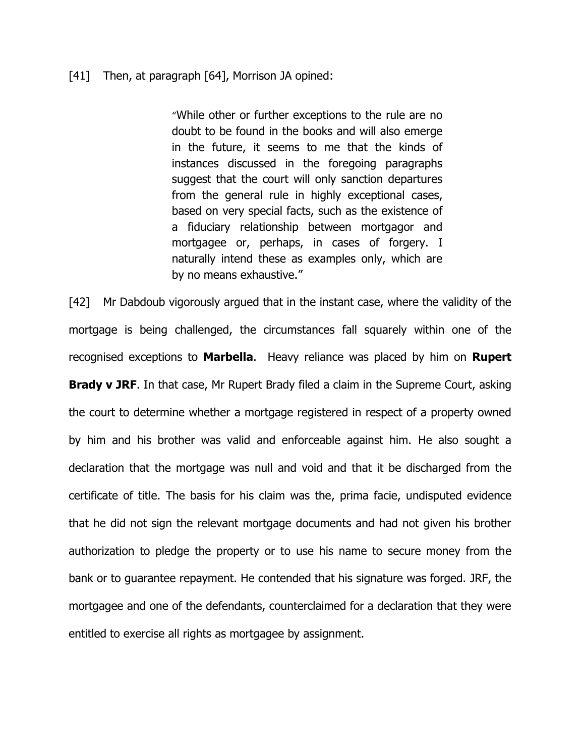#### [41] Then, at paragraph [64], Morrison JA opined:

"While other or further exceptions to the rule are no doubt to be found in the books and will also emerge in the future, it seems to me that the kinds of instances discussed in the foregoing paragraphs suggest that the court will only sanction departures from the general rule in highly exceptional cases, based on very special facts, such as the existence of a fiduciary relationship between mortgagor and mortgagee or, perhaps, in cases of forgery. I naturally intend these as examples only, which are by no means exhaustive."

[42] Mr Dabdoub vigorously argued that in the instant case, where the validity of the mortgage is being challenged, the circumstances fall squarely within one of the recognised exceptions to **Marbella**. Heavy reliance was placed by him on **Rupert Brady v JRF**. In that case, Mr Rupert Brady filed a claim in the Supreme Court, asking the court to determine whether a mortgage registered in respect of a property owned by him and his brother was valid and enforceable against him. He also sought a declaration that the mortgage was null and void and that it be discharged from the certificate of title. The basis for his claim was the, prima facie, undisputed evidence that he did not sign the relevant mortgage documents and had not given his brother authorization to pledge the property or to use his name to secure money from the bank or to guarantee repayment. He contended that his signature was forged. JRF, the mortgagee and one of the defendants, counterclaimed for a declaration that they were entitled to exercise all rights as mortgagee by assignment.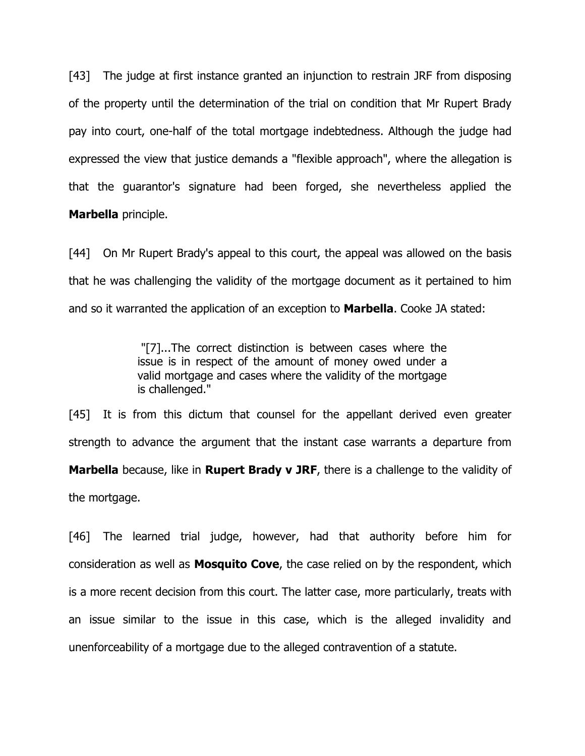[43] The judge at first instance granted an injunction to restrain JRF from disposing of the property until the determination of the trial on condition that Mr Rupert Brady pay into court, one-half of the total mortgage indebtedness. Although the judge had expressed the view that justice demands a "flexible approach", where the allegation is that the guarantor's signature had been forged, she nevertheless applied the **Marbella** principle.

[44] On Mr Rupert Brady's appeal to this court, the appeal was allowed on the basis that he was challenging the validity of the mortgage document as it pertained to him and so it warranted the application of an exception to **Marbella**. Cooke JA stated:

> "[7]...The correct distinction is between cases where the issue is in respect of the amount of money owed under a valid mortgage and cases where the validity of the mortgage is challenged."

[45] It is from this dictum that counsel for the appellant derived even greater strength to advance the argument that the instant case warrants a departure from **Marbella** because, like in **Rupert Brady v JRF**, there is a challenge to the validity of the mortgage.

[46] The learned trial judge, however, had that authority before him for consideration as well as **Mosquito Cove**, the case relied on by the respondent, which is a more recent decision from this court. The latter case, more particularly, treats with an issue similar to the issue in this case, which is the alleged invalidity and unenforceability of a mortgage due to the alleged contravention of a statute.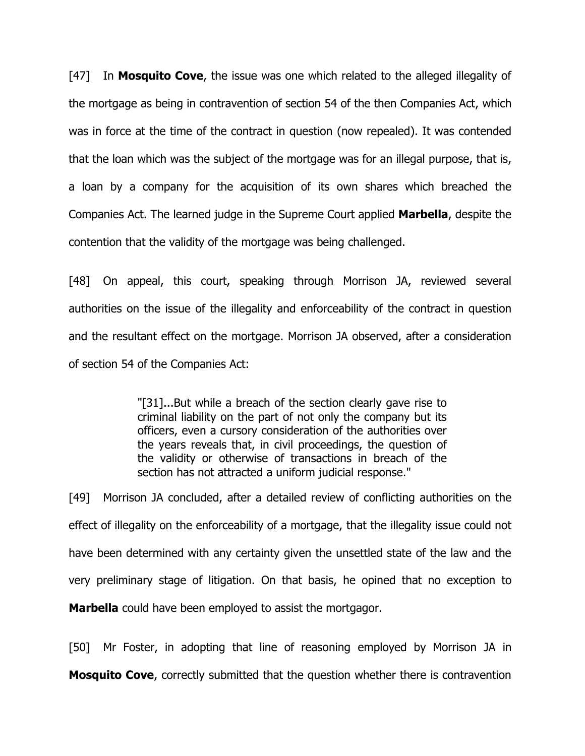[47] In **Mosquito Cove**, the issue was one which related to the alleged illegality of the mortgage as being in contravention of section 54 of the then Companies Act, which was in force at the time of the contract in question (now repealed). It was contended that the loan which was the subject of the mortgage was for an illegal purpose, that is, a loan by a company for the acquisition of its own shares which breached the Companies Act. The learned judge in the Supreme Court applied **Marbella**, despite the contention that the validity of the mortgage was being challenged.

[48] On appeal, this court, speaking through Morrison JA, reviewed several authorities on the issue of the illegality and enforceability of the contract in question and the resultant effect on the mortgage. Morrison JA observed, after a consideration of section 54 of the Companies Act:

> "[31]...But while a breach of the section clearly gave rise to criminal liability on the part of not only the company but its officers, even a cursory consideration of the authorities over the years reveals that, in civil proceedings, the question of the validity or otherwise of transactions in breach of the section has not attracted a uniform judicial response."

[49] Morrison JA concluded, after a detailed review of conflicting authorities on the effect of illegality on the enforceability of a mortgage, that the illegality issue could not have been determined with any certainty given the unsettled state of the law and the very preliminary stage of litigation. On that basis, he opined that no exception to **Marbella** could have been employed to assist the mortgagor.

[50] Mr Foster, in adopting that line of reasoning employed by Morrison JA in **Mosquito Cove**, correctly submitted that the question whether there is contravention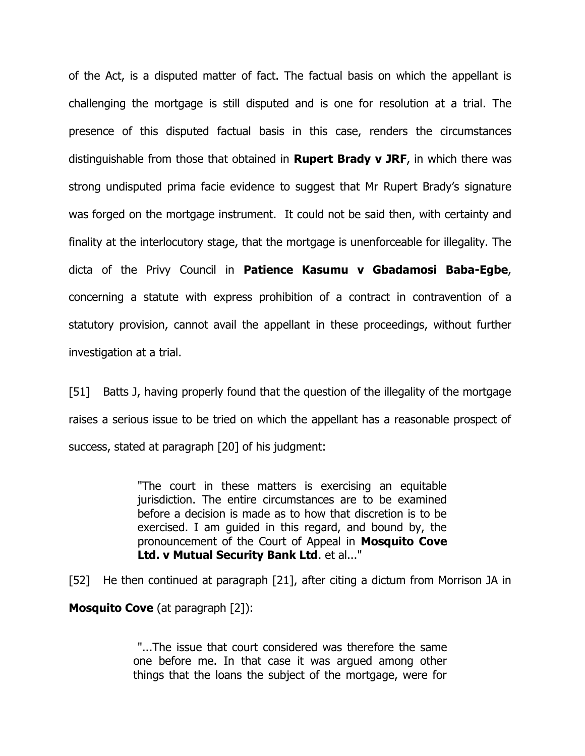of the Act, is a disputed matter of fact. The factual basis on which the appellant is challenging the mortgage is still disputed and is one for resolution at a trial. The presence of this disputed factual basis in this case, renders the circumstances distinguishable from those that obtained in **Rupert Brady v JRF**, in which there was strong undisputed prima facie evidence to suggest that Mr Rupert Brady's signature was forged on the mortgage instrument. It could not be said then, with certainty and finality at the interlocutory stage, that the mortgage is unenforceable for illegality. The dicta of the Privy Council in **Patience Kasumu v Gbadamosi Baba-Egbe**, concerning a statute with express prohibition of a contract in contravention of a statutory provision, cannot avail the appellant in these proceedings, without further investigation at a trial.

[51] Batts J, having properly found that the question of the illegality of the mortgage raises a serious issue to be tried on which the appellant has a reasonable prospect of success, stated at paragraph [20] of his judgment:

> "The court in these matters is exercising an equitable jurisdiction. The entire circumstances are to be examined before a decision is made as to how that discretion is to be exercised. I am guided in this regard, and bound by, the pronouncement of the Court of Appeal in **Mosquito Cove Ltd. v Mutual Security Bank Ltd**. et al..."

[52] He then continued at paragraph [21], after citing a dictum from Morrison JA in **Mosquito Cove** (at paragraph [2]):

> "...The issue that court considered was therefore the same one before me. In that case it was argued among other things that the loans the subject of the mortgage, were for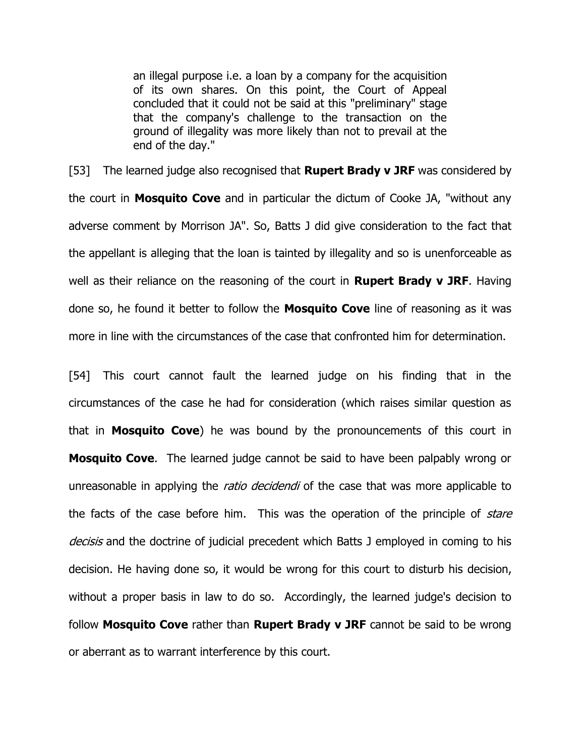an illegal purpose i.e. a loan by a company for the acquisition of its own shares. On this point, the Court of Appeal concluded that it could not be said at this "preliminary" stage that the company's challenge to the transaction on the ground of illegality was more likely than not to prevail at the end of the day."

[53] The learned judge also recognised that **Rupert Brady v JRF** was considered by the court in **Mosquito Cove** and in particular the dictum of Cooke JA, "without any adverse comment by Morrison JA". So, Batts J did give consideration to the fact that the appellant is alleging that the loan is tainted by illegality and so is unenforceable as well as their reliance on the reasoning of the court in **Rupert Brady v JRF**. Having done so, he found it better to follow the **Mosquito Cove** line of reasoning as it was more in line with the circumstances of the case that confronted him for determination.

[54] This court cannot fault the learned judge on his finding that in the circumstances of the case he had for consideration (which raises similar question as that in **Mosquito Cove**) he was bound by the pronouncements of this court in **Mosquito Cove**. The learned judge cannot be said to have been palpably wrong or unreasonable in applying the *ratio decidendi* of the case that was more applicable to the facts of the case before him. This was the operation of the principle of *stare* decisis and the doctrine of judicial precedent which Batts J employed in coming to his decision. He having done so, it would be wrong for this court to disturb his decision, without a proper basis in law to do so. Accordingly, the learned judge's decision to follow **Mosquito Cove** rather than **Rupert Brady v JRF** cannot be said to be wrong or aberrant as to warrant interference by this court.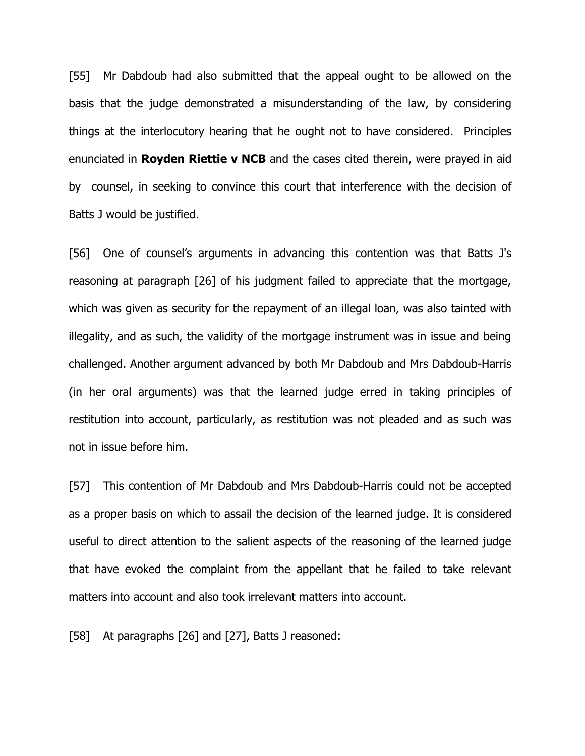[55] Mr Dabdoub had also submitted that the appeal ought to be allowed on the basis that the judge demonstrated a misunderstanding of the law, by considering things at the interlocutory hearing that he ought not to have considered. Principles enunciated in **Royden Riettie v NCB** and the cases cited therein, were prayed in aid by counsel, in seeking to convince this court that interference with the decision of Batts J would be justified.

[56] One of counsel's arguments in advancing this contention was that Batts J's reasoning at paragraph [26] of his judgment failed to appreciate that the mortgage, which was given as security for the repayment of an illegal loan, was also tainted with illegality, and as such, the validity of the mortgage instrument was in issue and being challenged. Another argument advanced by both Mr Dabdoub and Mrs Dabdoub-Harris (in her oral arguments) was that the learned judge erred in taking principles of restitution into account, particularly, as restitution was not pleaded and as such was not in issue before him.

[57] This contention of Mr Dabdoub and Mrs Dabdoub-Harris could not be accepted as a proper basis on which to assail the decision of the learned judge. It is considered useful to direct attention to the salient aspects of the reasoning of the learned judge that have evoked the complaint from the appellant that he failed to take relevant matters into account and also took irrelevant matters into account.

[58] At paragraphs [26] and [27], Batts J reasoned: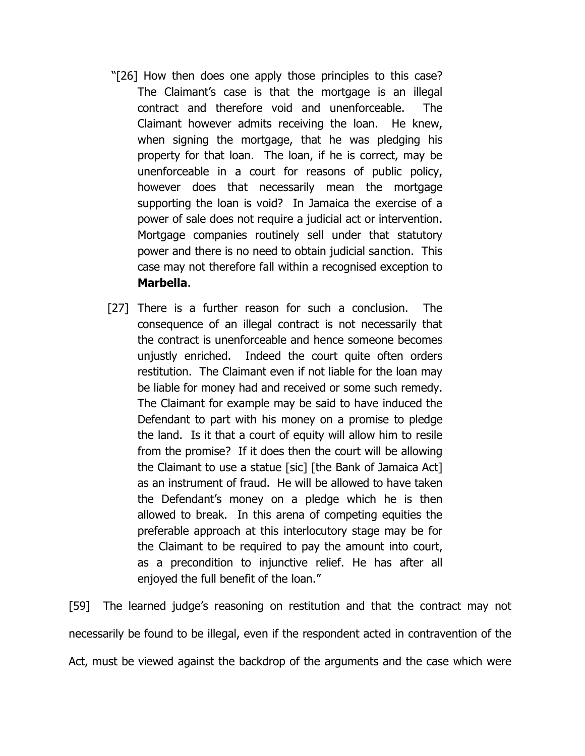- "[26] How then does one apply those principles to this case? The Claimant's case is that the mortgage is an illegal contract and therefore void and unenforceable. The Claimant however admits receiving the loan. He knew, when signing the mortgage, that he was pledging his property for that loan. The loan, if he is correct, may be unenforceable in a court for reasons of public policy, however does that necessarily mean the mortgage supporting the loan is void? In Jamaica the exercise of a power of sale does not require a judicial act or intervention. Mortgage companies routinely sell under that statutory power and there is no need to obtain judicial sanction. This case may not therefore fall within a recognised exception to **Marbella**.
- [27] There is a further reason for such a conclusion. The consequence of an illegal contract is not necessarily that the contract is unenforceable and hence someone becomes unjustly enriched. Indeed the court quite often orders restitution. The Claimant even if not liable for the loan may be liable for money had and received or some such remedy. The Claimant for example may be said to have induced the Defendant to part with his money on a promise to pledge the land. Is it that a court of equity will allow him to resile from the promise? If it does then the court will be allowing the Claimant to use a statue [sic] [the Bank of Jamaica Act] as an instrument of fraud. He will be allowed to have taken the Defendant's money on a pledge which he is then allowed to break. In this arena of competing equities the preferable approach at this interlocutory stage may be for the Claimant to be required to pay the amount into court, as a precondition to injunctive relief. He has after all enjoyed the full benefit of the loan."

[59] The learned judge's reasoning on restitution and that the contract may not necessarily be found to be illegal, even if the respondent acted in contravention of the Act, must be viewed against the backdrop of the arguments and the case which were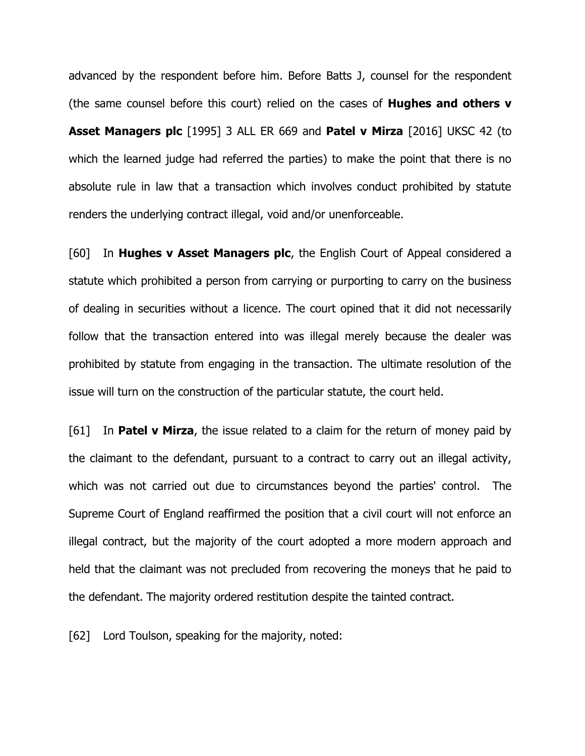advanced by the respondent before him. Before Batts J, counsel for the respondent (the same counsel before this court) relied on the cases of **Hughes and others v Asset Managers plc** [1995] 3 ALL ER 669 and **Patel v Mirza** [2016] UKSC 42 (to which the learned judge had referred the parties) to make the point that there is no absolute rule in law that a transaction which involves conduct prohibited by statute renders the underlying contract illegal, void and/or unenforceable.

[60] In **Hughes v Asset Managers plc**, the English Court of Appeal considered a statute which prohibited a person from carrying or purporting to carry on the business of dealing in securities without a licence. The court opined that it did not necessarily follow that the transaction entered into was illegal merely because the dealer was prohibited by statute from engaging in the transaction. The ultimate resolution of the issue will turn on the construction of the particular statute, the court held.

[61] In **Patel v Mirza**, the issue related to a claim for the return of money paid by the claimant to the defendant, pursuant to a contract to carry out an illegal activity, which was not carried out due to circumstances beyond the parties' control. The Supreme Court of England reaffirmed the position that a civil court will not enforce an illegal contract, but the majority of the court adopted a more modern approach and held that the claimant was not precluded from recovering the moneys that he paid to the defendant. The majority ordered restitution despite the tainted contract.

[62] Lord Toulson, speaking for the majority, noted: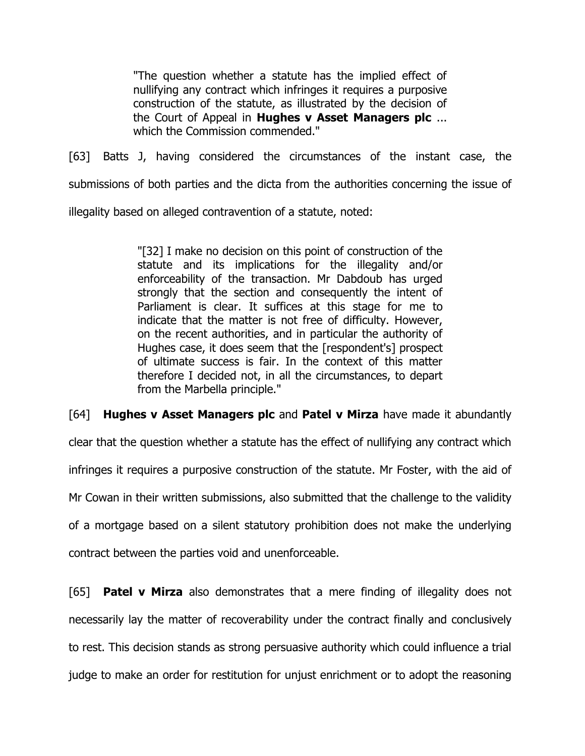"The question whether a statute has the implied effect of nullifying any contract which infringes it requires a purposive construction of the statute, as illustrated by the decision of the Court of Appeal in **Hughes v Asset Managers plc** ... which the Commission commended."

[63] Batts J, having considered the circumstances of the instant case, the submissions of both parties and the dicta from the authorities concerning the issue of illegality based on alleged contravention of a statute, noted:

> "[32] I make no decision on this point of construction of the statute and its implications for the illegality and/or enforceability of the transaction. Mr Dabdoub has urged strongly that the section and consequently the intent of Parliament is clear. It suffices at this stage for me to indicate that the matter is not free of difficulty. However, on the recent authorities, and in particular the authority of Hughes case, it does seem that the [respondent's] prospect of ultimate success is fair. In the context of this matter therefore I decided not, in all the circumstances, to depart from the Marbella principle."

[64] **Hughes v Asset Managers plc** and **Patel v Mirza** have made it abundantly

clear that the question whether a statute has the effect of nullifying any contract which

infringes it requires a purposive construction of the statute. Mr Foster, with the aid of

Mr Cowan in their written submissions, also submitted that the challenge to the validity

of a mortgage based on a silent statutory prohibition does not make the underlying

contract between the parties void and unenforceable.

[65] **Patel v Mirza** also demonstrates that a mere finding of illegality does not necessarily lay the matter of recoverability under the contract finally and conclusively to rest. This decision stands as strong persuasive authority which could influence a trial judge to make an order for restitution for unjust enrichment or to adopt the reasoning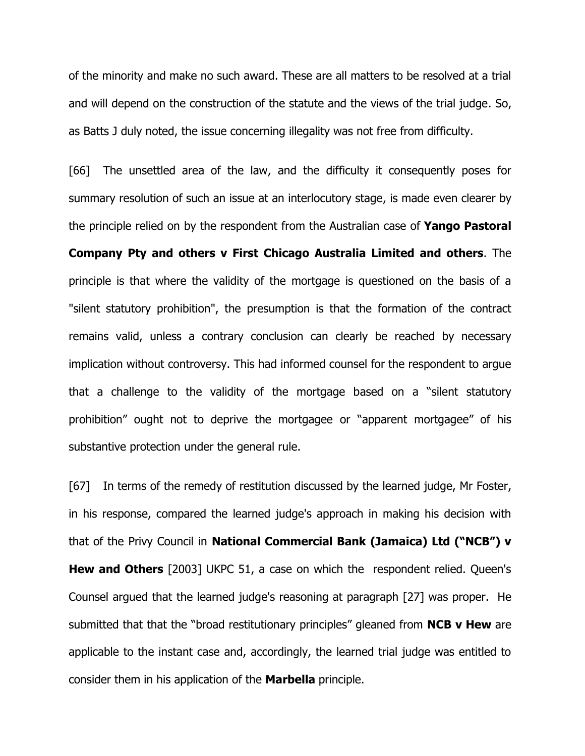of the minority and make no such award. These are all matters to be resolved at a trial and will depend on the construction of the statute and the views of the trial judge. So, as Batts J duly noted, the issue concerning illegality was not free from difficulty.

[66] The unsettled area of the law, and the difficulty it consequently poses for summary resolution of such an issue at an interlocutory stage, is made even clearer by the principle relied on by the respondent from the Australian case of **Yango Pastoral Company Pty and others v First Chicago Australia Limited and others**. The principle is that where the validity of the mortgage is questioned on the basis of a "silent statutory prohibition", the presumption is that the formation of the contract remains valid, unless a contrary conclusion can clearly be reached by necessary implication without controversy. This had informed counsel for the respondent to argue that a challenge to the validity of the mortgage based on a "silent statutory prohibition" ought not to deprive the mortgagee or "apparent mortgagee" of his substantive protection under the general rule.

[67] In terms of the remedy of restitution discussed by the learned judge, Mr Foster, in his response, compared the learned judge's approach in making his decision with that of the Privy Council in **National Commercial Bank (Jamaica) Ltd ("NCB") v Hew and Others** [2003] UKPC 51, a case on which the respondent relied. Queen's Counsel argued that the learned judge's reasoning at paragraph [27] was proper. He submitted that that the "broad restitutionary principles" gleaned from **NCB v Hew** are applicable to the instant case and, accordingly, the learned trial judge was entitled to consider them in his application of the **Marbella** principle.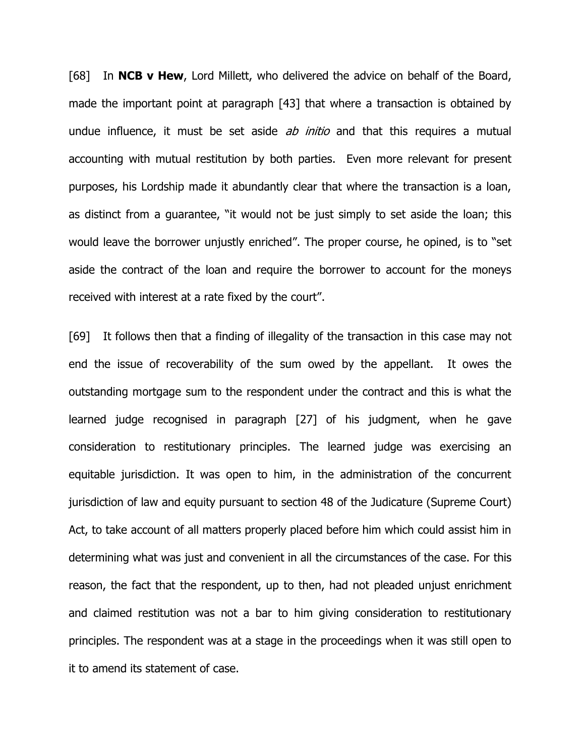[68] In **NCB v Hew**, Lord Millett, who delivered the advice on behalf of the Board, made the important point at paragraph [43] that where a transaction is obtained by undue influence, it must be set aside *ab initio* and that this requires a mutual accounting with mutual restitution by both parties. Even more relevant for present purposes, his Lordship made it abundantly clear that where the transaction is a loan, as distinct from a guarantee, "it would not be just simply to set aside the loan; this would leave the borrower unjustly enriched". The proper course, he opined, is to "set aside the contract of the loan and require the borrower to account for the moneys received with interest at a rate fixed by the court".

[69] It follows then that a finding of illegality of the transaction in this case may not end the issue of recoverability of the sum owed by the appellant. It owes the outstanding mortgage sum to the respondent under the contract and this is what the learned judge recognised in paragraph [27] of his judgment, when he gave consideration to restitutionary principles. The learned judge was exercising an equitable jurisdiction. It was open to him, in the administration of the concurrent jurisdiction of law and equity pursuant to section 48 of the Judicature (Supreme Court) Act, to take account of all matters properly placed before him which could assist him in determining what was just and convenient in all the circumstances of the case. For this reason, the fact that the respondent, up to then, had not pleaded unjust enrichment and claimed restitution was not a bar to him giving consideration to restitutionary principles. The respondent was at a stage in the proceedings when it was still open to it to amend its statement of case.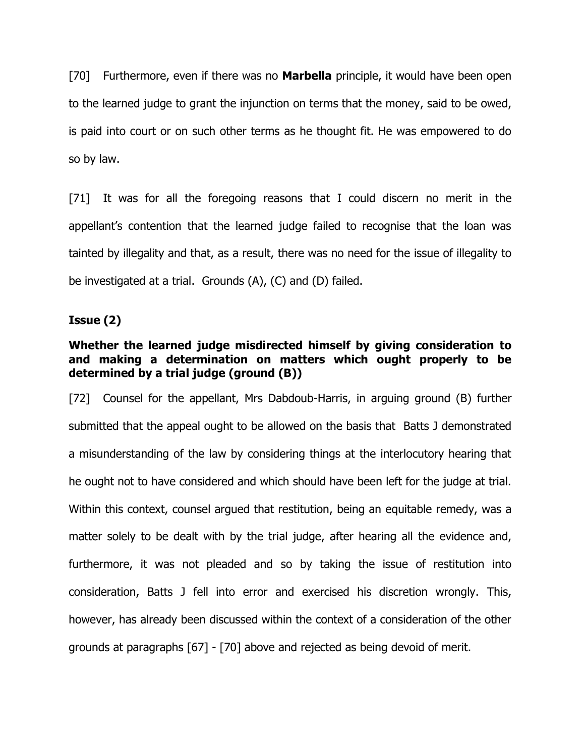[70] Furthermore, even if there was no **Marbella** principle, it would have been open to the learned judge to grant the injunction on terms that the money, said to be owed, is paid into court or on such other terms as he thought fit. He was empowered to do so by law.

[71] It was for all the foregoing reasons that I could discern no merit in the appellant's contention that the learned judge failed to recognise that the loan was tainted by illegality and that, as a result, there was no need for the issue of illegality to be investigated at a trial. Grounds (A), (C) and (D) failed.

## **Issue (2)**

# **Whether the learned judge misdirected himself by giving consideration to and making a determination on matters which ought properly to be determined by a trial judge (ground (B))**

[72] Counsel for the appellant, Mrs Dabdoub-Harris, in arguing ground (B) further submitted that the appeal ought to be allowed on the basis that Batts J demonstrated a misunderstanding of the law by considering things at the interlocutory hearing that he ought not to have considered and which should have been left for the judge at trial. Within this context, counsel argued that restitution, being an equitable remedy, was a matter solely to be dealt with by the trial judge, after hearing all the evidence and, furthermore, it was not pleaded and so by taking the issue of restitution into consideration, Batts J fell into error and exercised his discretion wrongly. This, however, has already been discussed within the context of a consideration of the other grounds at paragraphs [67] - [70] above and rejected as being devoid of merit.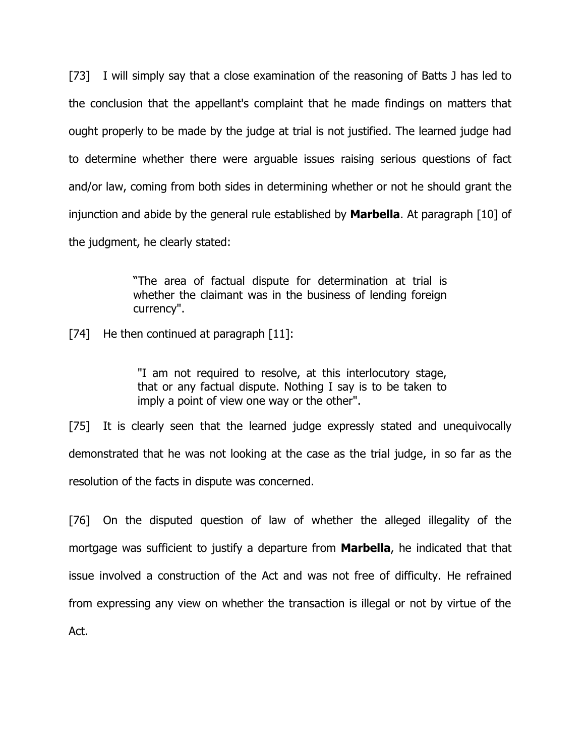[73] I will simply say that a close examination of the reasoning of Batts J has led to the conclusion that the appellant's complaint that he made findings on matters that ought properly to be made by the judge at trial is not justified. The learned judge had to determine whether there were arguable issues raising serious questions of fact and/or law, coming from both sides in determining whether or not he should grant the injunction and abide by the general rule established by **Marbella**. At paragraph [10] of the judgment, he clearly stated:

> "The area of factual dispute for determination at trial is whether the claimant was in the business of lending foreign currency".

[74] He then continued at paragraph [11]:

"I am not required to resolve, at this interlocutory stage, that or any factual dispute. Nothing I say is to be taken to imply a point of view one way or the other".

[75] It is clearly seen that the learned judge expressly stated and unequivocally demonstrated that he was not looking at the case as the trial judge, in so far as the resolution of the facts in dispute was concerned.

[76] On the disputed question of law of whether the alleged illegality of the mortgage was sufficient to justify a departure from **Marbella**, he indicated that that issue involved a construction of the Act and was not free of difficulty. He refrained from expressing any view on whether the transaction is illegal or not by virtue of the Act.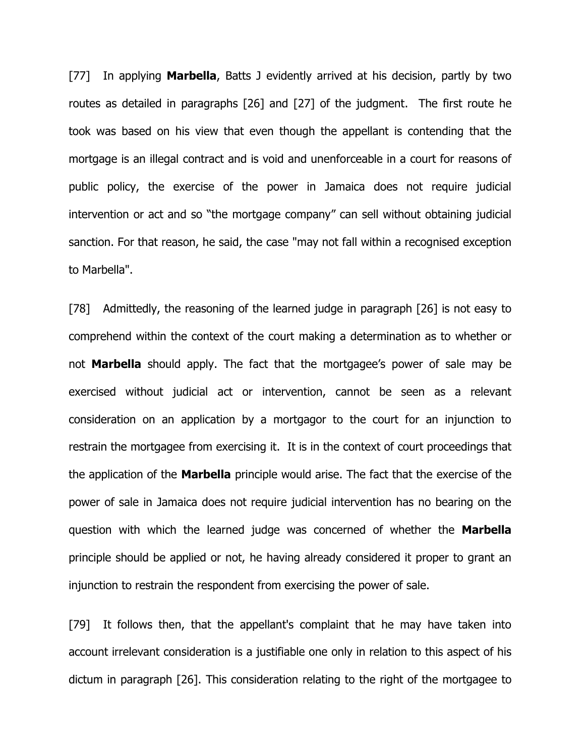[77] In applying **Marbella**, Batts J evidently arrived at his decision, partly by two routes as detailed in paragraphs [26] and [27] of the judgment. The first route he took was based on his view that even though the appellant is contending that the mortgage is an illegal contract and is void and unenforceable in a court for reasons of public policy, the exercise of the power in Jamaica does not require judicial intervention or act and so "the mortgage company" can sell without obtaining judicial sanction. For that reason, he said, the case "may not fall within a recognised exception to Marbella".

[78] Admittedly, the reasoning of the learned judge in paragraph [26] is not easy to comprehend within the context of the court making a determination as to whether or not **Marbella** should apply. The fact that the mortgagee's power of sale may be exercised without judicial act or intervention, cannot be seen as a relevant consideration on an application by a mortgagor to the court for an injunction to restrain the mortgagee from exercising it. It is in the context of court proceedings that the application of the **Marbella** principle would arise. The fact that the exercise of the power of sale in Jamaica does not require judicial intervention has no bearing on the question with which the learned judge was concerned of whether the **Marbella** principle should be applied or not, he having already considered it proper to grant an injunction to restrain the respondent from exercising the power of sale.

[79] It follows then, that the appellant's complaint that he may have taken into account irrelevant consideration is a justifiable one only in relation to this aspect of his dictum in paragraph [26]. This consideration relating to the right of the mortgagee to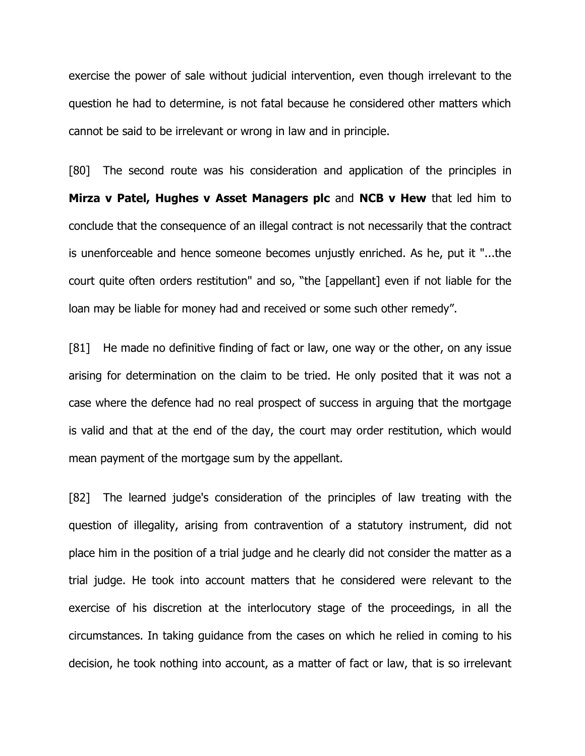exercise the power of sale without judicial intervention, even though irrelevant to the question he had to determine, is not fatal because he considered other matters which cannot be said to be irrelevant or wrong in law and in principle.

[80] The second route was his consideration and application of the principles in **Mirza v Patel, Hughes v Asset Managers plc** and **NCB v Hew** that led him to conclude that the consequence of an illegal contract is not necessarily that the contract is unenforceable and hence someone becomes unjustly enriched. As he, put it "...the court quite often orders restitution" and so, "the [appellant] even if not liable for the loan may be liable for money had and received or some such other remedy".

[81] He made no definitive finding of fact or law, one way or the other, on any issue arising for determination on the claim to be tried. He only posited that it was not a case where the defence had no real prospect of success in arguing that the mortgage is valid and that at the end of the day, the court may order restitution, which would mean payment of the mortgage sum by the appellant.

[82] The learned judge's consideration of the principles of law treating with the question of illegality, arising from contravention of a statutory instrument, did not place him in the position of a trial judge and he clearly did not consider the matter as a trial judge. He took into account matters that he considered were relevant to the exercise of his discretion at the interlocutory stage of the proceedings, in all the circumstances. In taking guidance from the cases on which he relied in coming to his decision, he took nothing into account, as a matter of fact or law, that is so irrelevant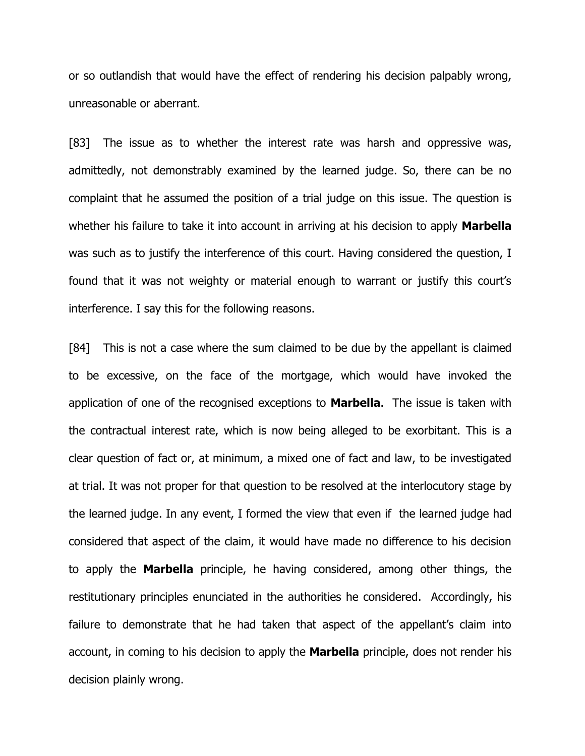or so outlandish that would have the effect of rendering his decision palpably wrong, unreasonable or aberrant.

[83] The issue as to whether the interest rate was harsh and oppressive was, admittedly, not demonstrably examined by the learned judge. So, there can be no complaint that he assumed the position of a trial judge on this issue. The question is whether his failure to take it into account in arriving at his decision to apply **Marbella** was such as to justify the interference of this court. Having considered the question, I found that it was not weighty or material enough to warrant or justify this court's interference. I say this for the following reasons.

[84] This is not a case where the sum claimed to be due by the appellant is claimed to be excessive, on the face of the mortgage, which would have invoked the application of one of the recognised exceptions to **Marbella**. The issue is taken with the contractual interest rate, which is now being alleged to be exorbitant. This is a clear question of fact or, at minimum, a mixed one of fact and law, to be investigated at trial. It was not proper for that question to be resolved at the interlocutory stage by the learned judge. In any event, I formed the view that even if the learned judge had considered that aspect of the claim, it would have made no difference to his decision to apply the **Marbella** principle, he having considered, among other things, the restitutionary principles enunciated in the authorities he considered. Accordingly, his failure to demonstrate that he had taken that aspect of the appellant's claim into account, in coming to his decision to apply the **Marbella** principle, does not render his decision plainly wrong.